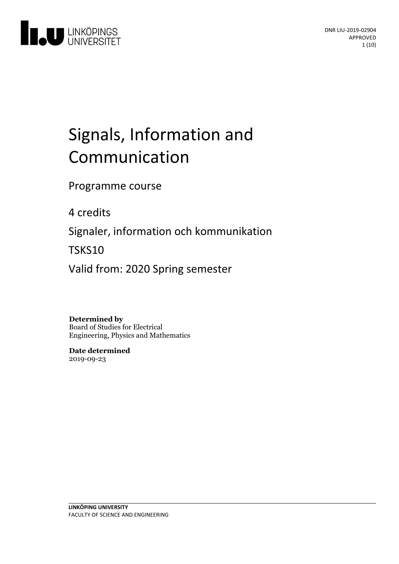

# Signals, Information and Communication

Programme course

4 credits

Signaler, information och kommunikation

TSKS10

Valid from: 2020 Spring semester

**Determined by** Board of Studies for Electrical Engineering, Physics and Mathematics

**Date determined** 2019-09-23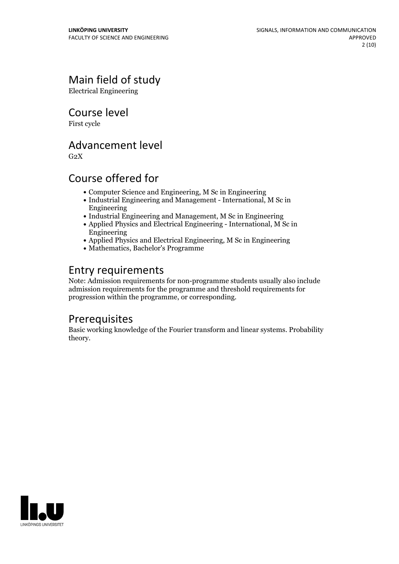## Main field of study

Electrical Engineering

Course level

First cycle

### Advancement level

 $G<sub>2</sub>X$ 

### Course offered for

- Computer Science and Engineering, M Sc in Engineering
- Industrial Engineering and Management International, M Sc in Engineering
- Industrial Engineering and Management, M Sc in Engineering
- Applied Physics and Electrical Engineering International, M Sc in Engineering
- Applied Physics and Electrical Engineering, M Sc in Engineering
- Mathematics, Bachelor's Programme

### Entry requirements

Note: Admission requirements for non-programme students usually also include admission requirements for the programme and threshold requirements for progression within the programme, or corresponding.

### Prerequisites

Basic working knowledge of the Fourier transform and linear systems. Probability theory.

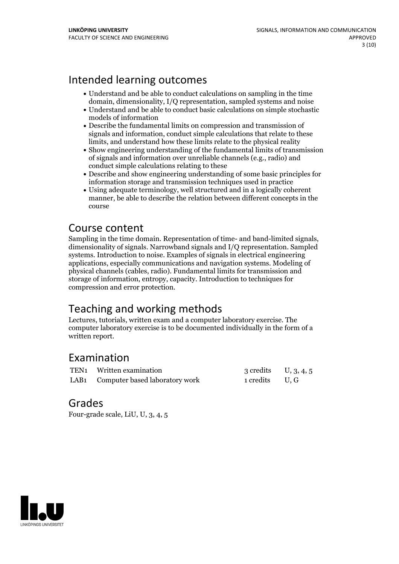### Intended learning outcomes

- Understand and be able to conduct calculations on sampling in the time domain, dimensionality, I/Q representation, sampled systems and noise
- Understand and be able to conduct basic calculations on simple stochastic models of information
- Describe the fundamental limits on compression and transmission of signals and information, conduct simple calculations that relate to these limits, and understand how these limits relate to the physical reality
- Show engineering understanding of the fundamental limits of transmission of signals and information over unreliable channels (e.g., radio) and conduct simple calculations relating to these
- Describe and show engineering understanding of some basic principles for information storage and transmission techniques used in practice
- Using adequate terminology, well structured and in a logically coherent manner, be able to describe the relation between different concepts in the course

**Course content**<br>Sampling in the time domain. Representation of time- and band-limited signals, dimensionality of signals. Narrowband signals and I/Q representation. Sampled systems. Introduction to noise. Examples of signals in electrical engineering applications, especially communications and navigation systems. Modeling of physical channels (cables, radio). Fundamental limits for transmission and storage of information, entropy, capacity. Introduction to techniques for compression and error protection.

### Teaching and working methods

Lectures, tutorials, written exam and a computer laboratory exercise. The computer laboratory exercise is to be documented individually in the form of a written report.

### Examination

| TEN1 Written examination            | 3 credits $U, 3, 4, 5$ |  |
|-------------------------------------|------------------------|--|
| LAB1 Computer based laboratory work | 1 credits U, G         |  |

### Grades

Four-grade scale, LiU, U, 3, 4, 5

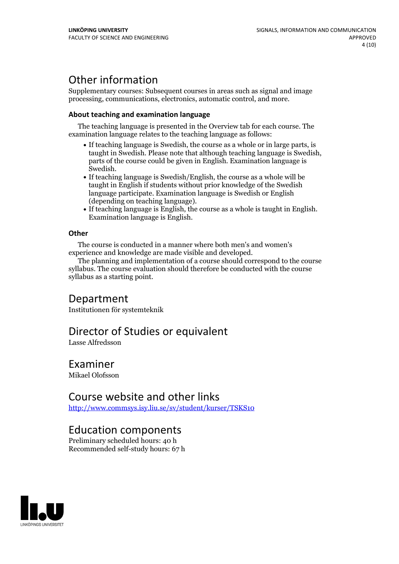### Other information

Supplementary courses: Subsequent courses in areas such as signal and image processing, communications, electronics, automatic control, and more.

#### **About teaching and examination language**

The teaching language is presented in the Overview tab for each course. The examination language relates to the teaching language as follows:

- If teaching language is Swedish, the course as a whole or in large parts, is taught in Swedish. Please note that although teaching language is Swedish, parts of the course could be given in English. Examination language is Swedish.<br>• If teaching language is Swedish/English, the course as a whole will be
- taught in English if students without prior knowledge of the Swedish language participate. Examination language is Swedish or English
- (depending on teaching language).<br>• If teaching language is English, the course as a whole is taught in English.<br>Examination language is English.

#### **Other**

The course is conducted in a manner where both men's and women's

The planning and implementation of a course should correspond to the course syllabus. The course evaluation should therefore be conducted with the course syllabus as a starting point.

### Department

Institutionen för systemteknik

### Director of Studies or equivalent

Lasse Alfredsson

### Examiner

Mikael Olofsson

### Course website and other links

<http://www.commsys.isy.liu.se/sv/student/kurser/TSKS10>

### Education components

Preliminary scheduled hours: 40 h Recommended self-study hours: 67 h

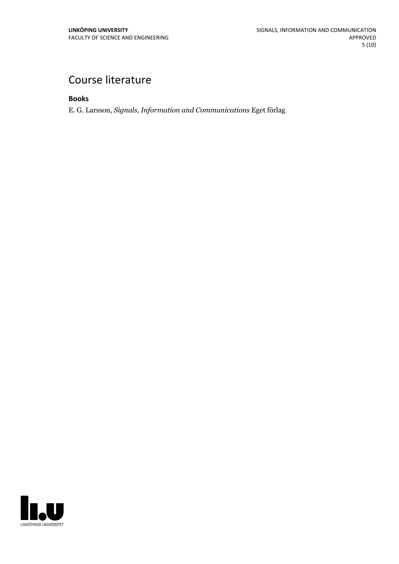## Course literature

**Books**

E. G. Larsson, *Signals, Information and Communications* Eget förlag

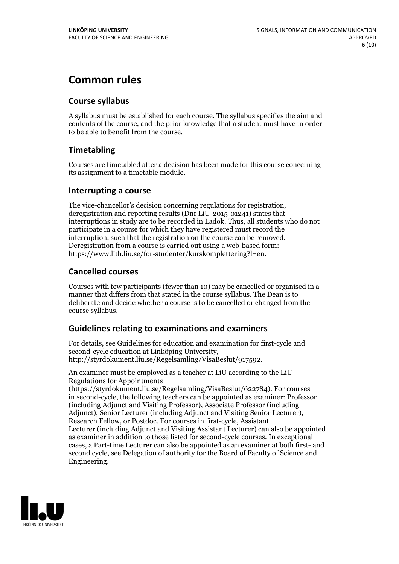### **Common rules**

#### **Course syllabus**

A syllabus must be established for each course. The syllabus specifies the aim and contents of the course, and the prior knowledge that a student must have in order to be able to benefit from the course.

### **Timetabling**

Courses are timetabled after a decision has been made for this course concerning its assignment to a timetable module.

#### **Interrupting a course**

The vice-chancellor's decision concerning regulations for registration, deregistration and reporting results (Dnr LiU-2015-01241) states that interruptions in study are to be recorded in Ladok. Thus, all students who do not participate in a course for which they have registered must record the interruption, such that the registration on the course can be removed. Deregistration from <sup>a</sup> course is carried outusing <sup>a</sup> web-based form: https://www.lith.liu.se/for-studenter/kurskomplettering?l=en.

### **Cancelled courses**

Courses with few participants (fewer than 10) may be cancelled or organised in a manner that differs from that stated in the course syllabus. The Dean is to deliberate and decide whether a course is to be cancelled or changed from the course syllabus.

### **Guidelines relatingto examinations and examiners**

For details, see Guidelines for education and examination for first-cycle and second-cycle education at Linköping University, http://styrdokument.liu.se/Regelsamling/VisaBeslut/917592.

An examiner must be employed as a teacher at LiU according to the LiU Regulations for Appointments

(https://styrdokument.liu.se/Regelsamling/VisaBeslut/622784). For courses in second-cycle, the following teachers can be appointed as examiner: Professor (including Adjunct and Visiting Professor), Associate Professor (including Adjunct), Senior Lecturer (including Adjunct and Visiting Senior Lecturer), Research Fellow, or Postdoc. For courses in first-cycle, Assistant Lecturer (including Adjunct and Visiting Assistant Lecturer) can also be appointed as examiner in addition to those listed for second-cycle courses. In exceptional cases, a Part-time Lecturer can also be appointed as an examiner at both first- and second cycle, see Delegation of authority for the Board of Faculty of Science and Engineering.

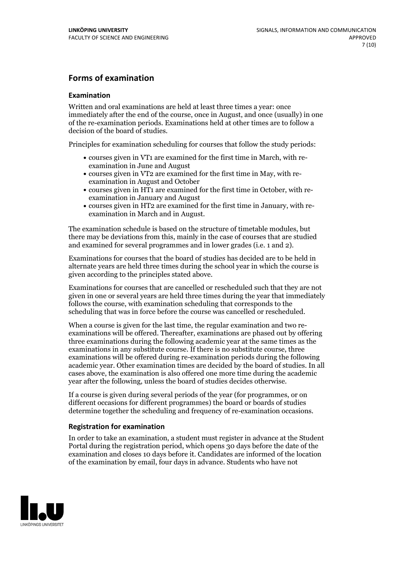#### **Forms of examination**

#### **Examination**

Written and oral examinations are held at least three times a year: once immediately after the end of the course, once in August, and once (usually) in one of the re-examination periods. Examinations held at other times are to follow a decision of the board of studies.

Principles for examination scheduling for courses that follow the study periods:

- courses given in VT1 are examined for the first time in March, with re-examination in June and August
- courses given in VT2 are examined for the first time in May, with re-examination in August and October
- courses given in HT1 are examined for the first time in October, with re-examination in January and August
- courses given in HT2 are examined for the first time in January, with re-examination in March and in August.

The examination schedule is based on the structure of timetable modules, but there may be deviations from this, mainly in the case of courses that are studied and examined for several programmes and in lower grades (i.e. 1 and 2).

Examinations for courses that the board of studies has decided are to be held in alternate years are held three times during the school year in which the course is given according to the principles stated above.

Examinations for courses that are cancelled orrescheduled such that they are not given in one or several years are held three times during the year that immediately follows the course, with examination scheduling that corresponds to the scheduling that was in force before the course was cancelled or rescheduled.

When a course is given for the last time, the regular examination and two re-<br>examinations will be offered. Thereafter, examinations are phased out by offering three examinations during the following academic year at the same times as the examinations in any substitute course. If there is no substitute course, three examinations will be offered during re-examination periods during the following academic year. Other examination times are decided by the board of studies. In all cases above, the examination is also offered one more time during the academic year after the following, unless the board of studies decides otherwise.

If a course is given during several periods of the year (for programmes, or on different occasions for different programmes) the board or boards of studies determine together the scheduling and frequency of re-examination occasions.

#### **Registration for examination**

In order to take an examination, a student must register in advance at the Student Portal during the registration period, which opens 30 days before the date of the examination and closes 10 days before it. Candidates are informed of the location of the examination by email, four days in advance. Students who have not

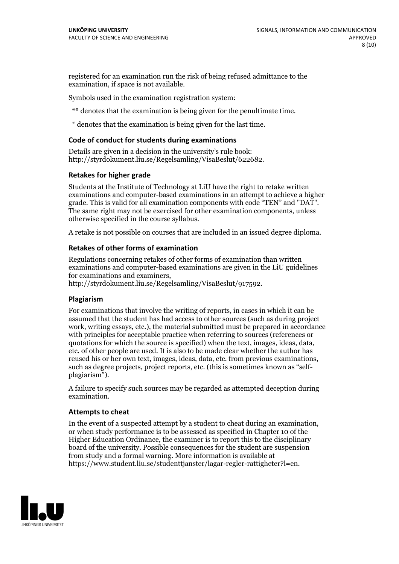registered for an examination run the risk of being refused admittance to the examination, if space is not available.

Symbols used in the examination registration system:

\*\* denotes that the examination is being given for the penultimate time.

\* denotes that the examination is being given for the last time.

#### **Code of conduct for students during examinations**

Details are given in a decision in the university's rule book: http://styrdokument.liu.se/Regelsamling/VisaBeslut/622682.

#### **Retakes for higher grade**

Students at the Institute of Technology at LiU have the right to retake written examinations and computer-based examinations in an attempt to achieve a higher grade. This is valid for all examination components with code "TEN" and "DAT". The same right may not be exercised for other examination components, unless otherwise specified in the course syllabus.

A retake is not possible on courses that are included in an issued degree diploma.

#### **Retakes of other forms of examination**

Regulations concerning retakes of other forms of examination than written examinations and computer-based examinations are given in the LiU guidelines

http://styrdokument.liu.se/Regelsamling/VisaBeslut/917592.

#### **Plagiarism**

For examinations that involve the writing of reports, in cases in which it can be assumed that the student has had access to other sources (such as during project work, writing essays, etc.), the material submitted must be prepared in accordance with principles for acceptable practice when referring to sources (references or quotations for which the source is specified) when the text, images, ideas, data,  $\vec{e}$  etc. of other people are used. It is also to be made clear whether the author has reused his or her own text, images, ideas, data, etc. from previous examinations, such as degree projects, project reports, etc. (this is sometimes known as "self- plagiarism").

A failure to specify such sources may be regarded as attempted deception during examination.

#### **Attempts to cheat**

In the event of <sup>a</sup> suspected attempt by <sup>a</sup> student to cheat during an examination, or when study performance is to be assessed as specified in Chapter <sup>10</sup> of the Higher Education Ordinance, the examiner is to report this to the disciplinary board of the university. Possible consequences for the student are suspension from study and a formal warning. More information is available at https://www.student.liu.se/studenttjanster/lagar-regler-rattigheter?l=en.

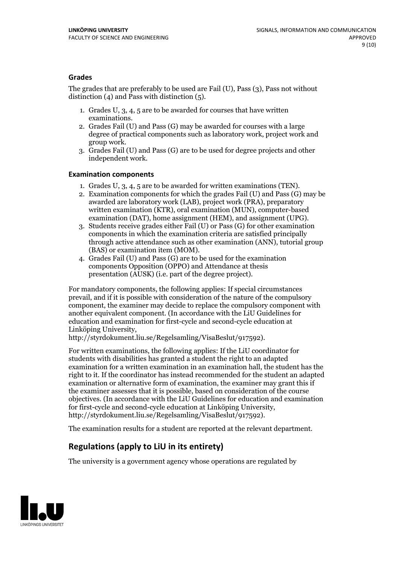#### **Grades**

The grades that are preferably to be used are Fail (U), Pass (3), Pass not without distinction  $(4)$  and Pass with distinction  $(5)$ .

- 1. Grades U, 3, 4, 5 are to be awarded for courses that have written
- examinations. 2. Grades Fail (U) and Pass (G) may be awarded for courses with <sup>a</sup> large degree of practical components such as laboratory work, project work and group work. 3. Grades Fail (U) and Pass (G) are to be used for degree projects and other
- independent work.

#### **Examination components**

- 
- 1. Grades U, 3, 4, <sup>5</sup> are to be awarded for written examinations (TEN). 2. Examination components for which the grades Fail (U) and Pass (G) may be awarded are laboratory work (LAB), project work (PRA), preparatory written examination (KTR), oral examination (MUN), computer-based
- examination (DAT), home assignment (HEM), and assignment (UPG). 3. Students receive grades either Fail (U) or Pass (G) for other examination components in which the examination criteria are satisfied principally through active attendance such as other examination (ANN), tutorial group
- (BAS) or examination item (MOM). 4. Grades Fail (U) and Pass (G) are to be used for the examination components Opposition (OPPO) and Attendance at thesis presentation (AUSK) (i.e. part of the degree project).

For mandatory components, the following applies: If special circumstances prevail, and if it is possible with consideration of the nature of the compulsory component, the examiner may decide to replace the compulsory component with another equivalent component. (In accordance with the LiU Guidelines for education and examination for first-cycle and second-cycle education at Linköping University, http://styrdokument.liu.se/Regelsamling/VisaBeslut/917592).

For written examinations, the following applies: If the LiU coordinator for students with disabilities has granted a student the right to an adapted examination for a written examination in an examination hall, the student has the right to it. If the coordinator has instead recommended for the student an adapted examination or alternative form of examination, the examiner may grant this if the examiner assesses that it is possible, based on consideration of the course objectives. (In accordance with the LiU Guidelines for education and examination for first-cycle and second-cycle education at Linköping University, http://styrdokument.liu.se/Regelsamling/VisaBeslut/917592).

The examination results for a student are reported at the relevant department.

### **Regulations (applyto LiU in its entirety)**

The university is a government agency whose operations are regulated by